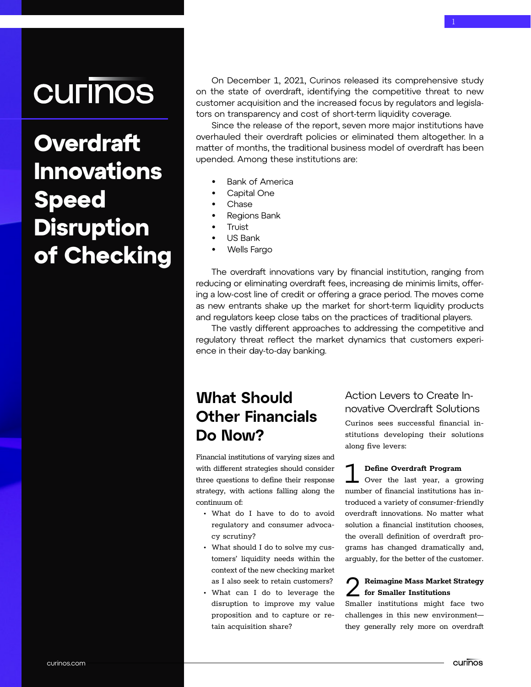# **CULINOS**

**Overdraft Innovations** Speed Disruption of Checking

On December 1, 2021, Curinos released its comprehensive study on the state of overdraft, identifying the competitive threat to new customer acquisition and the increased focus by regulators and legislators on transparency and cost of short-term liquidity coverage.

Since the release of the report, seven more major institutions have overhauled their overdraft policies or eliminated them altogether. In a matter of months, the traditional business model of overdraft has been upended. Among these institutions are:

- Bank of America
- Capital One

 $\overline{\mathcal{M}}$  in the contractions  $\overline{\mathcal{M}}$  in the checking  $\overline{\mathcal{M}}$ 

- Chase
- Regions Bank
- **Truist**
- US Bank
- Wells Fargo

The overdraft innovations vary by financial institution, ranging from reducing or eliminating overdraft fees, increasing de minimis limits, offering a low-cost line of credit or offering a grace period. The moves come as new entrants shake up the market for short-term liquidity products and regulators keep close tabs on the practices of traditional players.

The vastly different approaches to addressing the competitive and regulatory threat reflect the market dynamics that customers experience in their day-to-day banking.

## What Should Other Financials Do Now?

Financial institutions of varying sizes and with different strategies should consider three questions to define their response strategy, with actions falling along the continuum of:

- What do I have to do to avoid regulatory and consumer advocacy scrutiny?
- What should I do to solve my customers' liquidity needs within the context of the new checking market as I also seek to retain customers?
- What can I do to leverage the disruption to improve my value proposition and to capture or retain acquisition share?

### Action Levers to Create Innovative Overdraft Solutions

Curinos sees successful financial institutions developing their solutions along five levers:

#### Define Overdraft Program

Over the last year, a growing number of financial institutions has introduced a variety of consumer-friendly overdraft innovations. No matter what solution a financial institution chooses, the overall definition of overdraft programs has changed dramatically and, arguably, for the better of the customer. 1

#### Reimagine Mass Market Strategy for Smaller Institutions 2

Smaller institutions might face two challenges in this new environment they generally rely more on overdraft